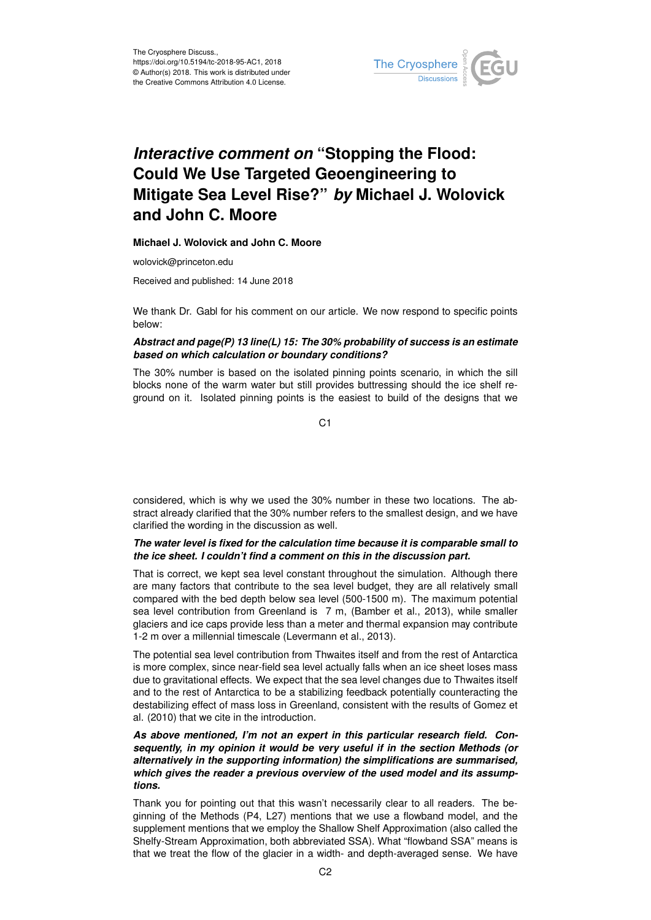

# *Interactive comment on* **"Stopping the Flood: Could We Use Targeted Geoengineering to Mitigate Sea Level Rise?"** *by* **Michael J. Wolovick and John C. Moore**

**Michael J. Wolovick and John C. Moore**

wolovick@princeton.edu

Received and published: 14 June 2018

We thank Dr. Gabl for his comment on our article. We now respond to specific points below:

## *Abstract and page(P) 13 line(L) 15: The 30% probability of success is an estimate based on which calculation or boundary conditions?*

The 30% number is based on the isolated pinning points scenario, in which the sill blocks none of the warm water but still provides buttressing should the ice shelf reground on it. Isolated pinning points is the easiest to build of the designs that we

 $C<sub>1</sub>$ 

considered, which is why we used the 30% number in these two locations. The abstract already clarified that the 30% number refers to the smallest design, and we have clarified the wording in the discussion as well.

# *The water level is fixed for the calculation time because it is comparable small to the ice sheet. I couldn't find a comment on this in the discussion part.*

That is correct, we kept sea level constant throughout the simulation. Although there are many factors that contribute to the sea level budget, they are all relatively small compared with the bed depth below sea level (500-1500 m). The maximum potential sea level contribution from Greenland is 7 m, (Bamber et al., 2013), while smaller glaciers and ice caps provide less than a meter and thermal expansion may contribute 1-2 m over a millennial timescale (Levermann et al., 2013).

The potential sea level contribution from Thwaites itself and from the rest of Antarctica is more complex, since near-field sea level actually falls when an ice sheet loses mass due to gravitational effects. We expect that the sea level changes due to Thwaites itself and to the rest of Antarctica to be a stabilizing feedback potentially counteracting the destabilizing effect of mass loss in Greenland, consistent with the results of Gomez et al. (2010) that we cite in the introduction.

# *As above mentioned, I'm not an expert in this particular research field. Consequently, in my opinion it would be very useful if in the section Methods (or alternatively in the supporting information) the simplifications are summarised, which gives the reader a previous overview of the used model and its assumptions.*

Thank you for pointing out that this wasn't necessarily clear to all readers. The beginning of the Methods (P4, L27) mentions that we use a flowband model, and the supplement mentions that we employ the Shallow Shelf Approximation (also called the Shelfy-Stream Approximation, both abbreviated SSA). What "flowband SSA" means is that we treat the flow of the glacier in a width- and depth-averaged sense. We have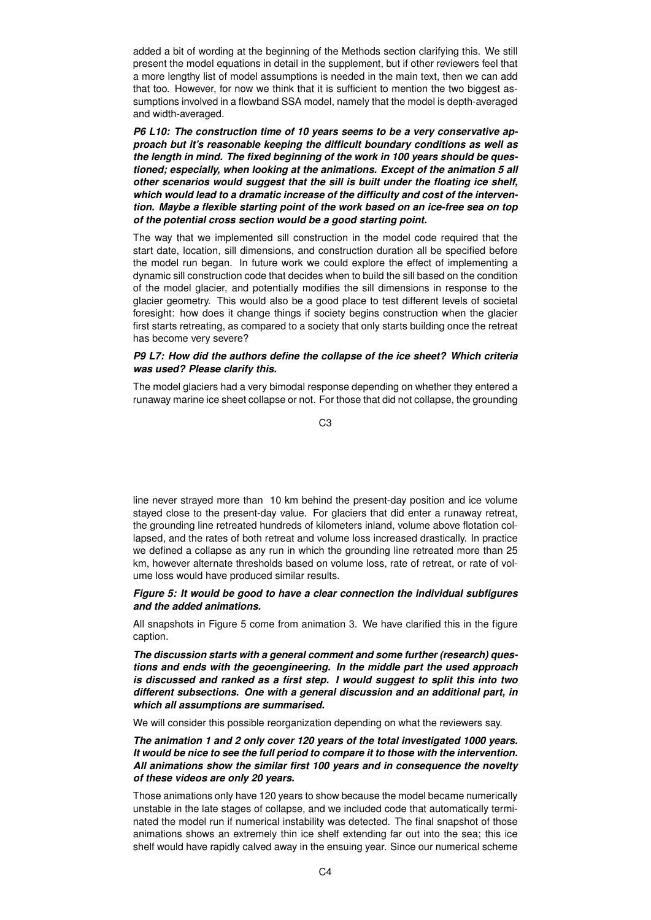added a bit of wording at the beginning of the Methods section clarifying this. We still present the model equations in detail in the supplement, but if other reviewers feel that a more lengthy list of model assumptions is needed in the main text, then we can add that too. However, for now we think that it is sufficient to mention the two biggest assumptions involved in a flowband SSA model, namely that the model is depth-averaged and width-averaged.

*P6 L10: The construction time of 10 years seems to be a very conservative approach but it's reasonable keeping the difficult boundary conditions as well as the length in mind. The fixed beginning of the work in 100 years should be questioned; especially, when looking at the animations. Except of the animation 5 all other scenarios would suggest that the sill is built under the floating ice shelf, which would lead to a dramatic increase of the difficulty and cost of the intervention. Maybe a flexible starting point of the work based on an ice-free sea on top of the potential cross section would be a good starting point.*

The way that we implemented sill construction in the model code required that the start date, location, sill dimensions, and construction duration all be specified before the model run began. In future work we could explore the effect of implementing a dynamic sill construction code that decides when to build the sill based on the condition of the model glacier, and potentially modifies the sill dimensions in response to the glacier geometry. This would also be a good place to test different levels of societal foresight: how does it change things if society begins construction when the glacier first starts retreating, as compared to a society that only starts building once the retreat has become very severe?

# *P9 L7: How did the authors define the collapse of the ice sheet? Which criteria was used? Please clarify this.*

The model glaciers had a very bimodal response depending on whether they entered a runaway marine ice sheet collapse or not. For those that did not collapse, the grounding

 $C<sub>3</sub>$ 

line never strayed more than 10 km behind the present-day position and ice volume stayed close to the present-day value. For glaciers that did enter a runaway retreat, the grounding line retreated hundreds of kilometers inland, volume above flotation collapsed, and the rates of both retreat and volume loss increased drastically. In practice we defined a collapse as any run in which the grounding line retreated more than 25 km, however alternate thresholds based on volume loss, rate of retreat, or rate of volume loss would have produced similar results.

## *Figure 5: It would be good to have a clear connection the individual subfigures and the added animations.*

All snapshots in Figure 5 come from animation 3. We have clarified this in the figure caption.

*The discussion starts with a general comment and some further (research) questions and ends with the geoengineering. In the middle part the used approach is discussed and ranked as a first step. I would suggest to split this into two different subsections. One with a general discussion and an additional part, in which all assumptions are summarised.*

We will consider this possible reorganization depending on what the reviewers say.

*The animation 1 and 2 only cover 120 years of the total investigated 1000 years. It would be nice to see the full period to compare it to those with the intervention. All animations show the similar first 100 years and in consequence the novelty of these videos are only 20 years.*

Those animations only have 120 years to show because the model became numerically unstable in the late stages of collapse, and we included code that automatically terminated the model run if numerical instability was detected. The final snapshot of those animations shows an extremely thin ice shelf extending far out into the sea; this ice shelf would have rapidly calved away in the ensuing year. Since our numerical scheme